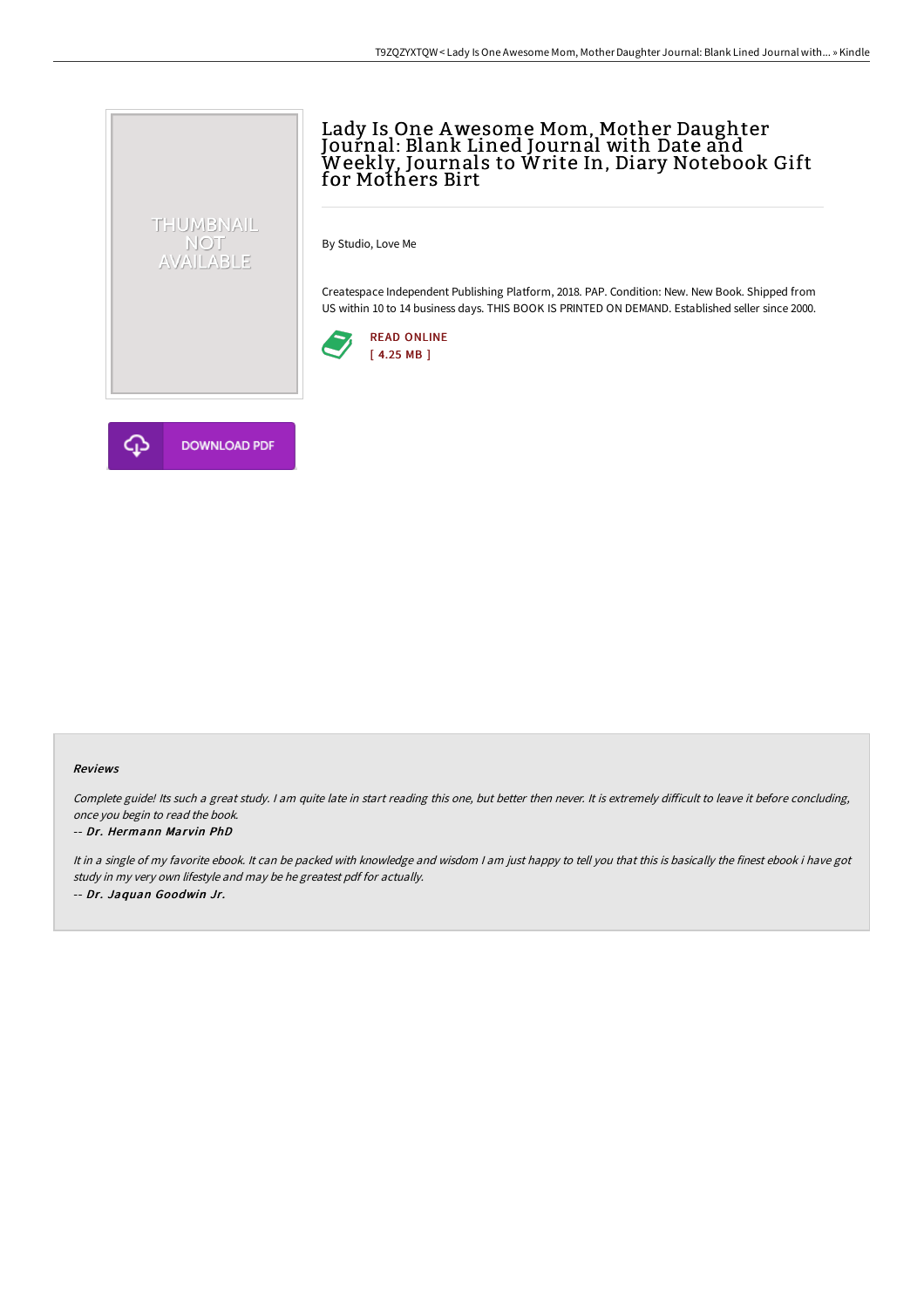# Lady Is One Awesome Mom, Mother Daughter Journal: Blank Lined Journal with Date and Weekly, Journals to Write In, Diary Notebook Gift for Mothers Birt

By Studio, Love Me

Createspace Independent Publishing Platform, 2018. PAP. Condition: New. New Book. Shipped from US within 10 to 14 business days. THIS BOOK IS PRINTED ON DEMAND. Established seller since 2000.





THUMBNAIL NOT<br>AVAILABLE

#### Reviews

Complete guide! Its such a great study. I am quite late in start reading this one, but better then never. It is extremely difficult to leave it before concluding, once you begin to read the book.

#### -- Dr. Hermann Marvin PhD

It in a single of my favorite ebook. It can be packed with knowledge and wisdom I am just happy to tell you that this is basically the finest ebook i have got study in my very own lifestyle and may be he greatest pdf for actually. -- Dr. Jaquan Goodwin Jr.